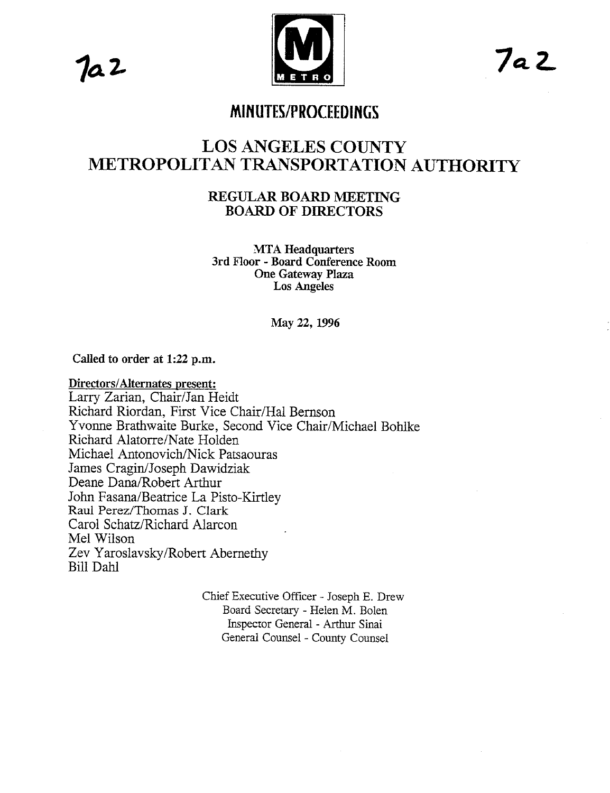7a 2



## **MINUTES/PROCEEDINGS**

# **LOS ANGELES COUNTY METROPOLITAN TRANSPORTATION AUTHORITY**

## **REGUI,AR BOARD MEETING BOARD OF DIRECTORS**

**MTA Headquarters 3rd Floor - Board Conference Room One Gateway Plaza Los Angeles**

**May 22, 1996**

Called to order at 1:22 p.m.

**Directors/Alternates** present: Larry Zarian, Chair/Jan Heidt Richard Riordan, First Vice Chair/Hal Bernson Yvonne Brathwaite Burke, Second Vice Chair/Michael Bohlke Richard Alatorre/Nate Hotden Michael Antonovich/Nick Patsaouras James Cragin/Joseph Dawidziak Deane Dana/Robert Arthur John Fasana/Beatrice La Pisto-Kirtley Raul Perez/Thomas J. Clark Carol Schatz/Richard Alarcon Mel Wilson Zev Yaroslavsky/Robert Abernethy Bill Dahl

> Chief Executive Officer - Joseph E. Drew Board Secretary - Helen M. Bolen Inspector General - Arthur Sinai General Counsel - County Counsel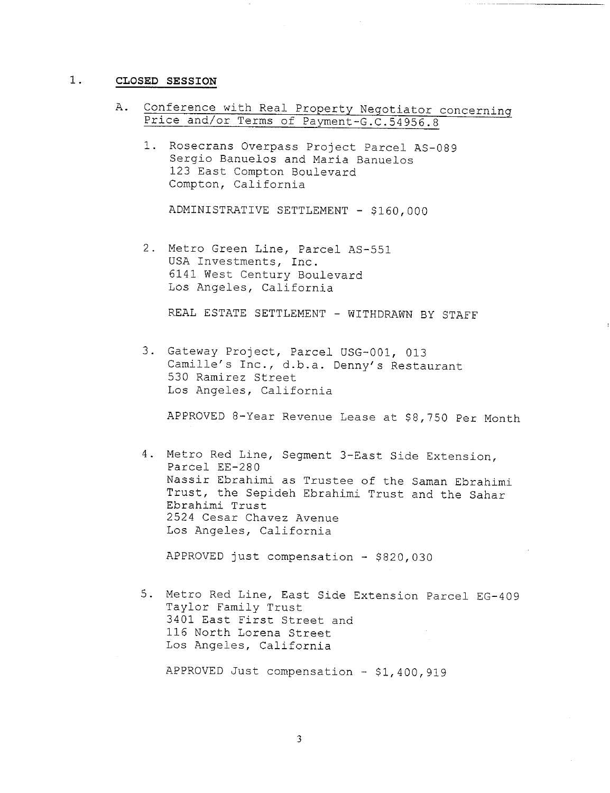### **i. CLOSED SESSION**

- A. Conference with Real Property Negotiator concerninq Price and/or Terms of Payment-G.C.54956.8
	- 1. Rosecrans Overpass Project Parcel AS-089 Sergio Banuelos and Maria Banuelos 123 East Compton Boulevard Compton, California

ADMINISTRATIVE SETTLEMENT - \$160,000

2. Metro Green Line, Parcel AS-551 USA Investments, Inc. 6141 West Century Boulevard Los Angeles, California

REAL ESTATE SETTLEMENT - WITHDRAWN BY STAFF

3. Gateway Project, Parcel USG-001, 013 Camille's Inc., d.b.a. Denny's Restaurant 530 Ramirez Street Los Angeles, California

APPROVED 8-Year Revenue Lease at \$8,750 Per Month

4. Metro Red Line, Segment 3-East Side Extension, Parcel EE-280 Nassir Ebrahimi as Trustee of the Saman Ebrahimi Trust, the Sepideh Ebrahimi Trust and the Sahar Ebrahimi Trust 2524 Cesar Chavez Avenue Los Angeles, California

APPROVED just compensation - \$820,030

- 5. Metro Red Line, East Side Extension Parcel EG-409 Taylor Family Trust 3401 East First Street and 116 North Lorena Street Los Angeles, California
	- APPROVED Just compensation \$1,400,919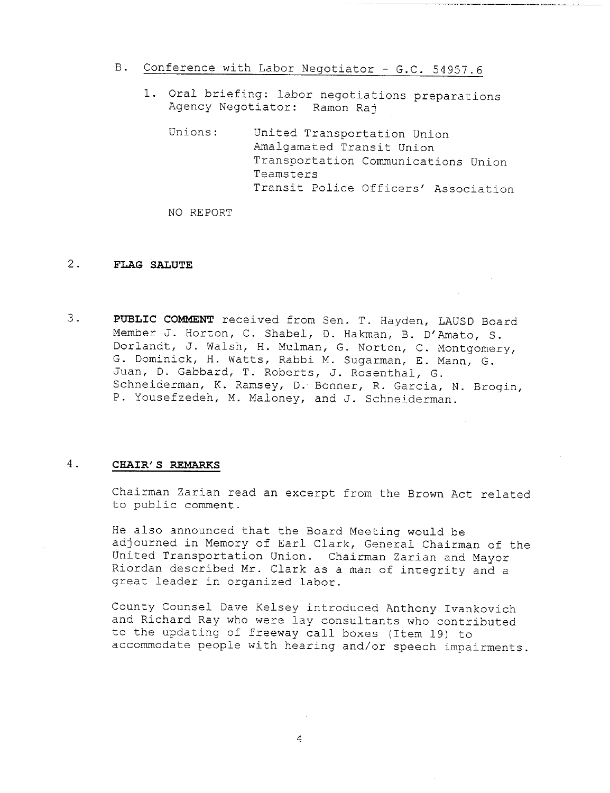- B. Conference with Labor Negotiator G.C. 54957.6
	- i. Oral briefing: labor negotiations preparations Agency Negotiator: Ramon Raj
		- Unions: United Transportation Union Amalgamated Transit Union Transportation Communications Union Teamsters Transit Police Officers' Association

NO REPORT

### **2. FLAG SALUTE**

<sup>o</sup> **PUBLIC COMMENT** received from Sen. T. Hayden, LAUSD Board Member J. Horton, C. Shabel, D. Hakman, B. D'Amato, S. Dorlandt, J. Walsh, H. Mulman, G. Norton, C. Montgomery, G. Dominick, H. Watts, Rabbi M. Sugarman, E. Mann, G. Juan, D. Gabbard, T. Roberts, J. Rosenthal, @. Schneiderman, K. Ramsey, D. Bonner, R. @arcia, N. Brogin, P. Yousefzedeh, M. Maloney, and J. Schneiderman.

### <sup>o</sup> **CHAIR' S REMARKS**

Chairman Zarian read an excerpt from the Brown Act related to public comment.

He also announced that the Board Meeting would be adjourned in Memory of Earl Clark, General Chairman of the United Transportation Union. Chairman Zarian and Mayor Riordan described Mr. Clark as a man of integrity and a great leader in organized labor.

County Counsel Dave Kelsey introduced Anthony Ivankovich and Richard Ray who were lay consultants who contributed to the updating of freeway call boxes (Item 19) accommodate people with hearing and/or speech impairments.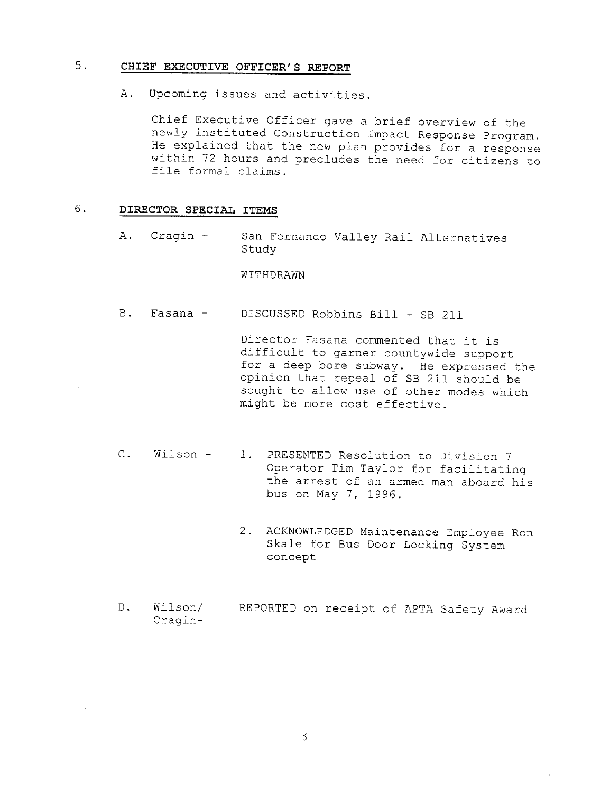### **5. CHIEF EXECUTIVE OFFICER' S REPORT**

A. Upcoming issues and activities.

Chief Executive Officer gave a brief overview of the newly instituted Construction Impact Response Program. He explained that the new plan provides for a response within 72 hours and precludes the need for citizens to file formal claims.

#### 6. **DIRECTOR SPECIAL ITEMS**

A. Cragin - San Fernando Valley Rail Alternatives Study

#### WITHDRAWN

B. Fasana - DISCUSSED Robbins Bill - SB 211

Director Fasana commented that it is difficult to garner countywide support for a deep bore subway. He expressed the opinion that repeal of SB 211 should be sought to allow use of other modes which might be more cost effective.

- C. Wilson 1. PRESENTED Resolution to Division 7 Operator Tim Taylor for facilitating the arrest of an armed man aboard his bus on May 7, 1996.
	- 2. ACKNOWLEDGED Maintenance Employee Ron Skale for Bus Door Locking System concept
- D. Wilson/ Cragin-REPORTED on receipt of APTA Safety Award

5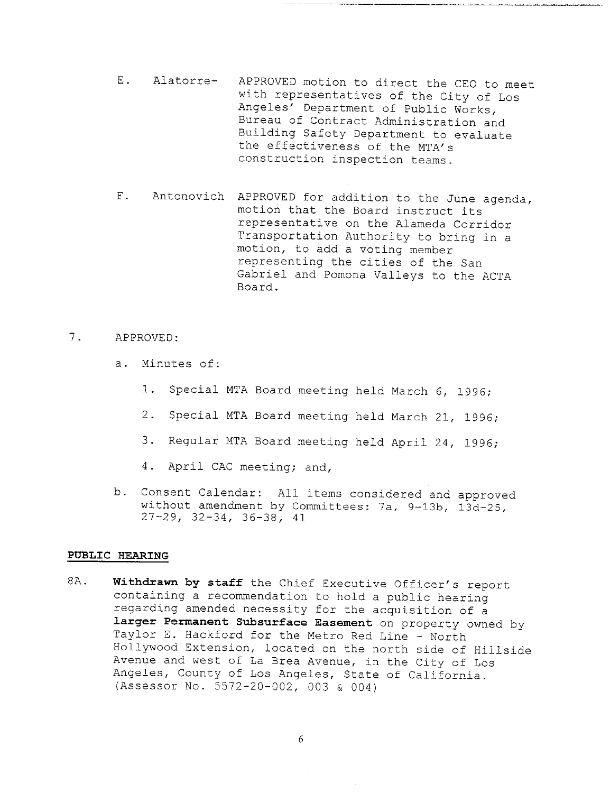- E. Alatorre- APPROVED motion to direct the CEO to meet with representatives of the City of Los Angeles' Department of Public Works, Bureau of Contract Administration and Building Safety Department to evaluate the effectiveness of the MTA's construction inspection teams.
- F. Antonovich APPROVED for addition to the June agenda, motion that the Board instruct its representative on the Alameda Corridor Transportation Authority to bring in a motion, to add a voting member representing the cities of the San Gabriel and Pomona Valleys to the ACTA Board.

### 7. APPROVED:

- a. Minutes of:
	- i. Special MTA Board meeting held March 6, 1996;
	- 2. Special MTA Board meeting held March 21, 1996;
	- 3. Regular MTA Board meeting held April 24, 1996;
	- 4. April CAC meeting; and,
- b. Consent Calendar: All items considered and approve without amendment by Committees: 7a, 9-13b, 13d-25, 27-29, 32-34, 36-38, 41

### **PUBLIC HEARING**

8A. **Withdrawn by staff** the Chief Executive Officer's report containing a recommendation to hold a public hearing regarding amended necessity for the acquisition of a **larger Permanent Subsurface Easement** on property owned by Taylor E. Hackford for the Metro Red Line - North Hollywood Extension, located on the north side of Hillside Avenue and west of La Brea Avenue, in the City of Los Angeles, County of Los Angeles, State of California. (Assessor No. 5572-20-002, 003 & 004)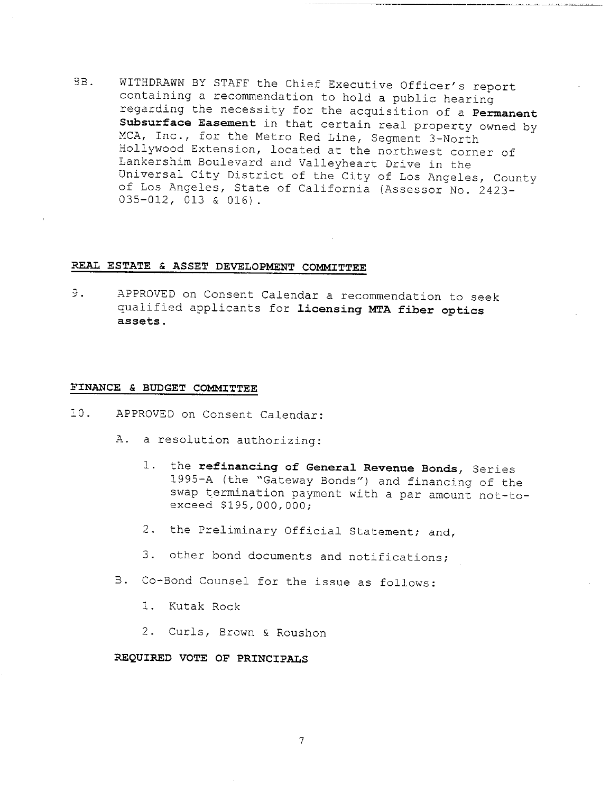9B. WITHDRAWN BY STAFF the Chief Executive Officer's report containing a recommendation to hold a public hearing regarding the necessity for the acquisition of a Permanent Subsurface Easement in that certain real property owned by MCA, Inc., for the Metro Red Line, Segment 3-North Hollywood Extension, located at the northwest corner of Lankershim Boulevard and Valleyheart Drive in the Universal City District of the City of Los Angeles, County of Los Angeles, State of California (Assessor No. 2423-035-012, 013 & 016).

### **REAL ESTATE & ASSET DEVELOPMENT COMMITTEE**

Э. **APPROVED on Consent Calendar a recommendation to seek** qualified applicants for licensing MTA fiber optics **assets.**

### **FINANCE & BUDGET COMMITTEE**

- !0. APPROVED on Consent Calendar:
	- A. a resolution authorizing:
		- i. the refinancing of General Revenue Bonds, Series 1995-A (the "Gateway Bonds") and financing of the swap termination payment with a par amount not-toexceed \$195,000,000;
		- 2. the Preliminary Official Statement; and,
		- 3. other bond documents and notifications;
	- B. Co-Bond Counsel for the issue as follows:
		- I. Kutak Rock
		- 2. Curls, Brown & Roushon

#### **REQUIRED VOTE OF PRINCIPALS**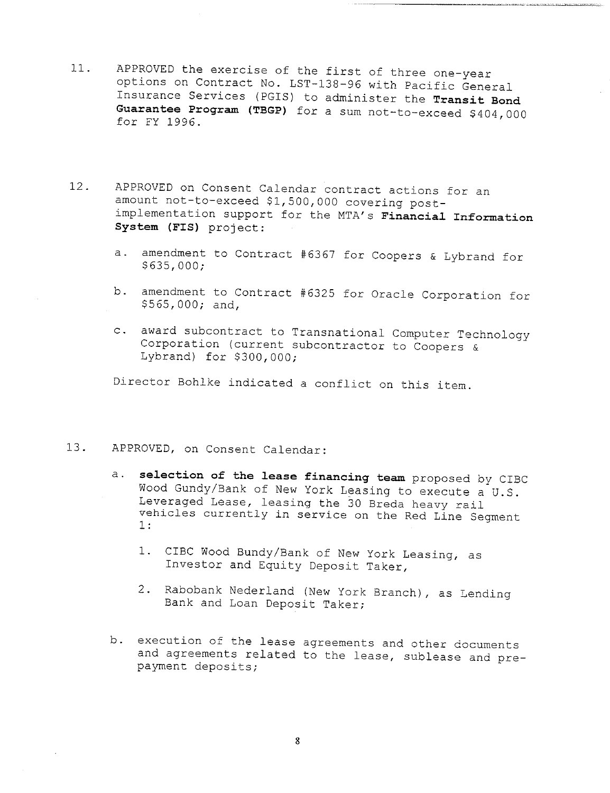- 11. APPROVED the exercise of the first of three one-year options on Contract No. LST-138-96 with Pacific General Insurance Services (PGIS) to administer the **Transit Bond Guarantee Program** (TBGP) for a sum not-to-exceed \$404,000 for FY 1996.
- 12. APPROVED on Consent Calendar contract actions for an amount not-to-exceed \$1,500,000 covering postimplementation support for the MTA's **Financial Information System** (FIS) project:
	- a. amendment to Contract #6367 for Coopers & Lybrand for \$635,000;
	- b. amendment to Contract #6325 for Oracle Corporation for \$565,000; and,
	- c. award subcontract to Transnational Computer Technology Corporation (current subcontractor to Coopers & Lybrand) for \$300,000;

Director Bohlke indicated a conflict on this item.

### 13. APPROVED, on Consent Calendar:

- a. selection of the lease financing team proposed by CIBC Wood Gundy/Bank of New York Leasing to execute a U.S. Leveraged Lease, leasing the 30 Breda heavy rail vehicles currently in service on the Red Line Segment i:
	- i. CIBC Wood Bundy/Bank of New York Leasing, as Investor and Equity Deposit Taker,
	- 2. Rabobank Nederland (New York Branch), as Lending Bank and Loan Deposit Taker;
- b. execution of the lease agreements and other documents and agreements related to the lease, sublease and prepayment deposits;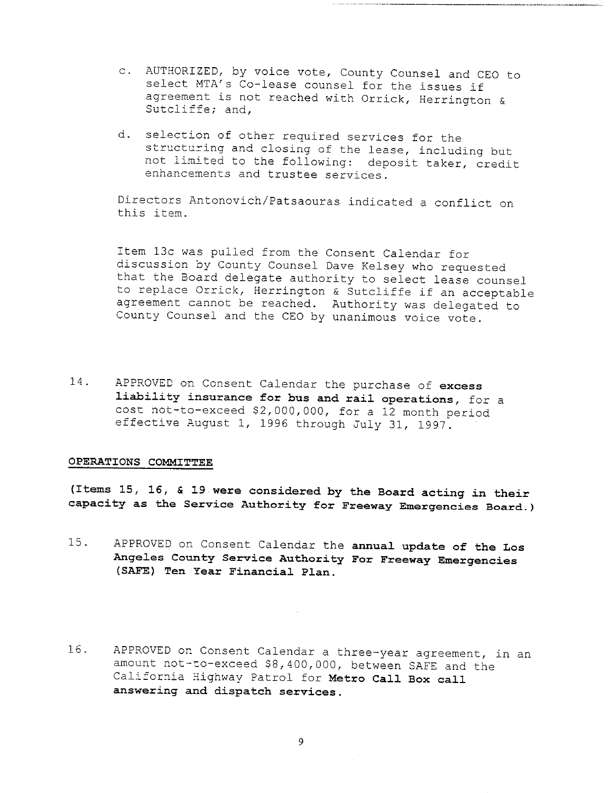- AUTHORIZED, by voice vote, County Counsel and CEO to select MTA's Co-lease counsel for the issues if agreement is not reached with Orrick, Herrington & Sutcliffe; and,
- d. selection of other required services for the structuring and closing of the lease, including but not limited to the following: deposit taker, credit enhancements and trustee services.

Directors Antonovich/Patsaouras indicated a conflict on this item.

item 13c was pulled from the Consent Calendar for discussion by County Counsel Dave Kelsey who requested that the Board delegate authority to select lease counsel to replace Orrick, Herrington & Sutcliffe if an acceptable agreement cannot be reached. Authority was delegated to County Counsel and the CEO by unanimous voice vote.

14. APPROVED on Consent Calendar the purchase of **excess liability insurance for bus and rail operations, for a** cost not-to-exceed \$2,000,000, for a 12 month period effective August i, 1996 through July 31, 1997.

#### **OPERATIONS COMMITTEE**

**(Items 15, 16, & 19 were considered by the Board acting in their capacity as the Service Authority for Freeway Emergencies Board.)**

- 15. APPROVED on Consent Calendar the **annual update of the Los Angeles County Service Authority For Freeway Emergencies (SAFE) Ten Year Financial Plan.**
- 16. APPROVED on Consent Calendar a three-year agreement, in an amount not-to-exceed \$8,400,000, between SAFE and the California Highway Patrol for **Metro Call Box call answering and dispatch services.**

9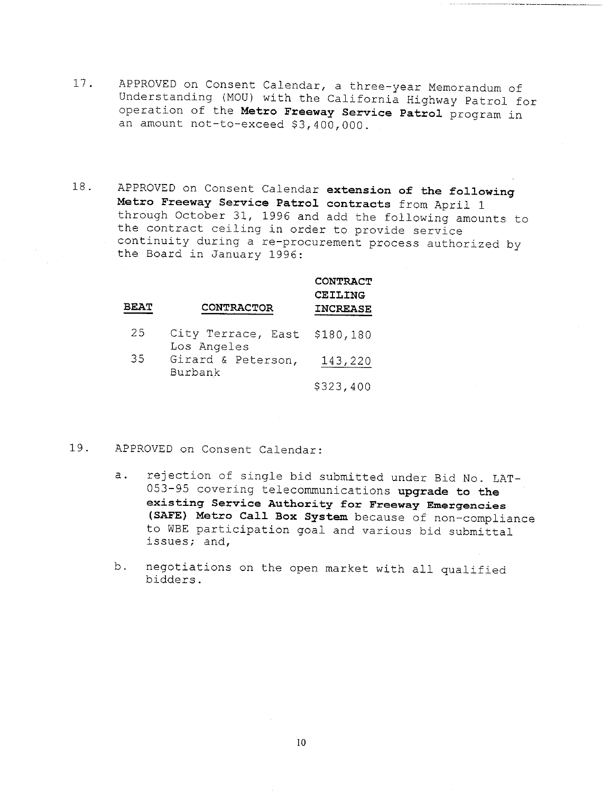- 17. APPROVED on Consent Calendar, a three-year Memorandum of Understanding (MOU) with the California Highway Patrol for operation of the **Metro Freeway Service Patrol** program in an amount not-to-exceed \$3,400,000.
- 18. APPROVED on Consent Calendar extension of **the following Metro Freeway Service Patrol contracts** from April 1 through October 31, 1996 and add the following amounts to the contract ceiling in order to provide service continuity during a re-procurement process authorized by the Board in January 1996:

| <b>BEAT</b> | <b>CONTRACTOR</b>                 | <b>CONTRACT</b><br>CEILING<br><b>INCREASE</b> |
|-------------|-----------------------------------|-----------------------------------------------|
| 25          | City Terrace, East<br>Los Angeles | \$180,180                                     |
| 35          | Girard & Peterson,<br>Burbank     | 143,220                                       |
|             |                                   | \$323,400                                     |

- 19. APPROVED on Consent Calendar:
	- a. rejection of single bid submitted under Bid No. LAT-053-95 covering telecommunications **upgrade to the existing Service Authority for Freeway Emergencies** (SAFE) Metro Call Box System because of non-compliance to WBE participation goal and various bid submittal issues; and,
	- b. negotiations on the open market with all qualified bidders.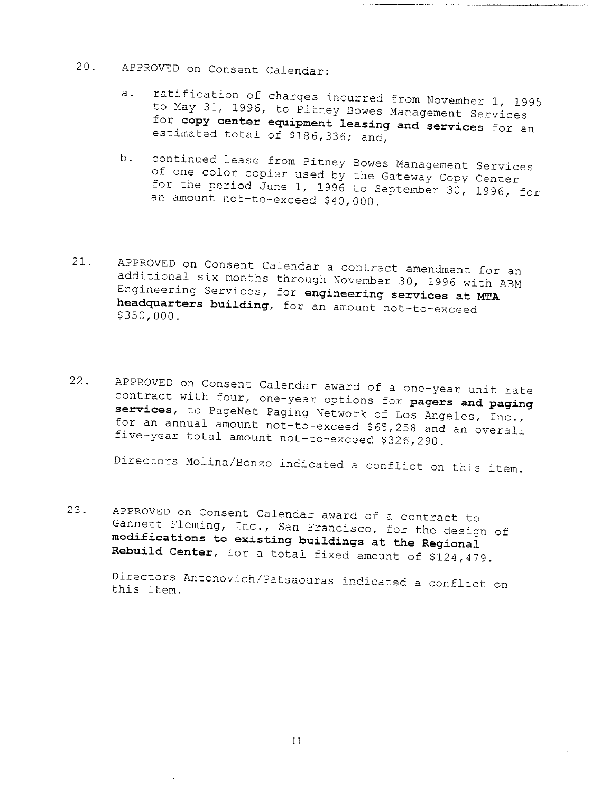- 20. APPROVED on Consent Calendar:
	- a. ratification of charges incurred from November 1, 1995 to May 31, 1996, to Pitney Bowes Management Services for **copy center equipment leasing and services** for an estimated total of \$186,336; and,
	- b. continued lease from Pitney Bowes Management Services of one color copier used by the Gateway Copy Center for the period June i, 1996 to September 30, 1996, for an amount not-to-exceed \$40,000.
- 21. APPROVED on Consent Calendar a contract amendment for an additional six months through November 30, 1996 with ABM Engineering Services, for **engineering services at** MTA **headquarters building,** for an amount not-to-exceed \$350,000.
- 22. APPROVED on Consent Calendar award of a one-year unit rate contract with four, one-year options for **pagers and paging** services, to PageNet Paging Network of Los Angeles, Inc., for an annual amount not-to-exceed \$65,258 and an overall five-year total amount not-to-exceed \$326,290.

Directors Molina/Bonzo indicated a conflict on this item.

23. APPROVED on Consent Calendar award of a contract to Gannett Fleming, Inc., San Francisco, for the design of **modifications to existing buildings at the Regional Rebuild Center,** for a total fixed amount of \$124,479.

Directors Antonovich/Patsaouras indicated a conflict on this item.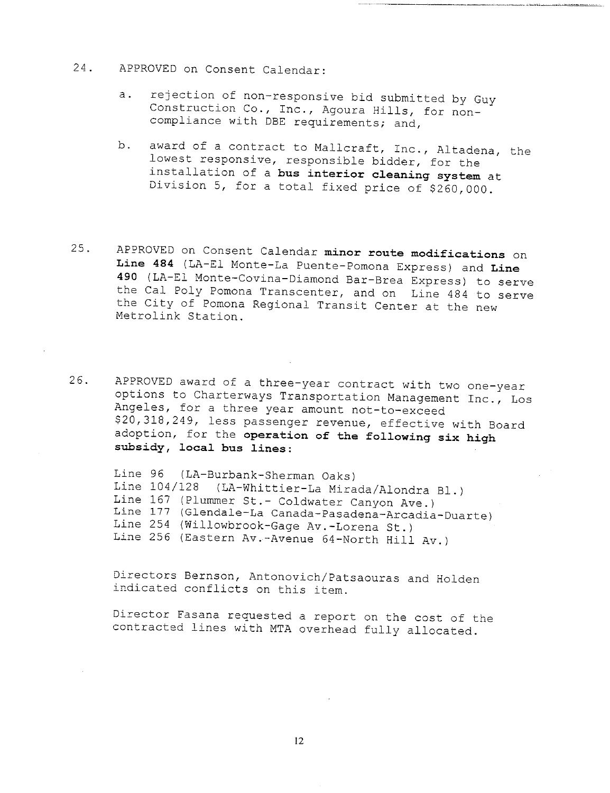- 24. APPROVED on Consent Calendar:
	- rejection of non-responsive bid submitted by Guy  $a.$ Construction Co., Inc., Agoura Hills, for noncompliance with DBE requirements; and,
	- award of a contract to Mallcraft, Inc., Altadena, the b. lowest responsive, responsible bidder, for the installation of **a bus interior cleaning system** at Division 5, for a total fixed price of \$260,000.
- 25. APPROVED on Consent Calendar **minor route modifications** on **Line 484** (LA-E1 Monte-La Puente-Pomona Express) and **Line 490** (LA-E! Monte-Covina-Diamond Bar-Brea Express) to serve the Cal Poly Pomona Transcenter, and on Line 484 to serve the City of Pomona Regional Transit Center at the new Metrolink Station.
- 26. APPROVED award of a three-year contract with two one-year options to Charterways Transportation Management Inc., Los Angeles, for a three year amount not-to-exceed \$20,318,249, less passenger revenue, effective with Board adoption, for the **operation of the following six high subsidy, local bus lines:**

Line 96 (LA-Burbank-Sherman Oaks) Line 104/128 (LA-Whittier-La Mirada/Alondra B1.) Line 167 (Plummet St.- Coldwater Canyon Ave.) Line 177 (Glendale-La Canada-Pasadena-Arcadia-Duarte) Line 254 (Willowbrook-Gage Av.-Lorena St.) Line 256 (Eastern Av.-Avenue 64-North Hill Av.)

Directors Bernson, Antonovich/Patsaouras and Holden indicated conflicts on this item.

Director Fasana requested a report on the cost of the contracted lines with MTA overhead fully allocated.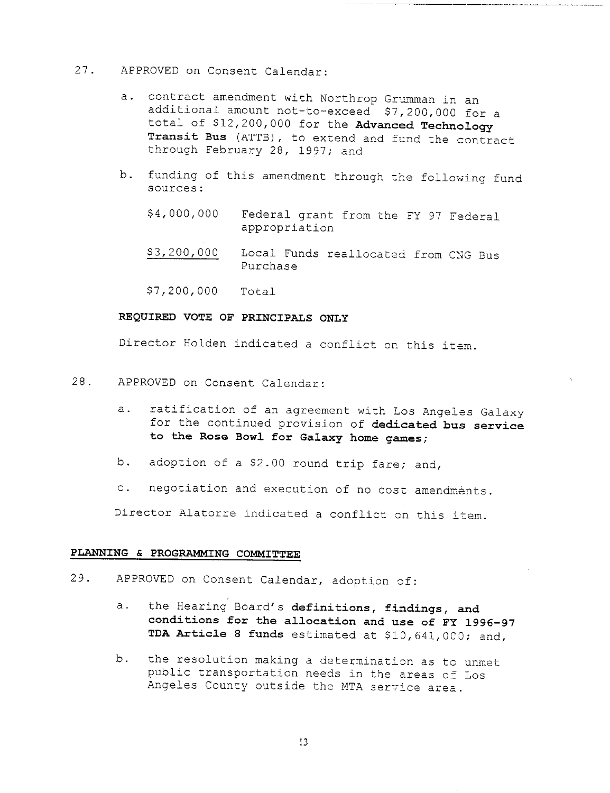### 27. APPROVED on Consent Calendar:

- contract amendment with Northrop Grumman in an  $a.$ additional amount not-to-exceed \$7,200,000 for a total of \$12,200,000 for the **Advanced Technology Transit** Bus (ATTB), to extend and fund the contract through February 28, 1997; and
- b. funding of this amendment through the following fund sources:
	- \$4,000,000 Federal grant from the FY 97 Federal appropriation
	- \$3,200,000 Local Funds reallocated from CNG Bus Purchase
	- \$7,200,000 Total

### **REQUIRED VOTE OF PRINCIPALS ONLY**

Director Holden indicated a conflict on this item.

- 28. APPROVED on Consent Calendar:
	- a. ratification of an agreement with Los Angeles Galaxy for the continued provision of dedicated bus **service** to the Rose Bowl for Galaxy home games;
	- b. adoption of a \$2.00 round trip fare; and,
	- c. negotiation and execution of no cost amendments.

Director Alatorre indicated a conflict on this item.

### **PLANNING & PROGRAMMING COMMITTEE**

- 29. APPROVED on Consent Calendar, adoption of:
	- a. the Hearing Board's definitions, findings, and **conditions for the allocation and use of FX 1996-97 TDA Amticle 8 funds** estimated at \$i0,641,0C0; and,
	- b. the resolution making a determination as to unmet public transportation needs in the areas of Los Angeles County outside the MTA service area.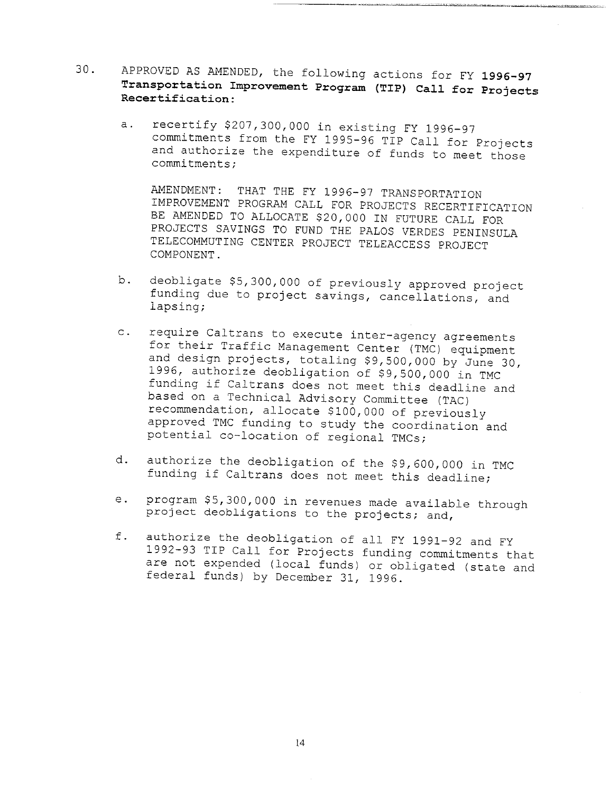- 30. **APPROVED AS AMENDED, the following actions for FY 1996-97 Transportation Improvement Program (TIP) Call for Projects Recertification:**
	- recertify \$207,300,000 in existing FY 1996-97  $a$ . commitments from the FY 1995-96 TIP Call for Projects and authorize the expenditure of funds to meet those commitments;

AMENDMENT: THAT THE FY 1996-97 TRANSPORTATION IMPROVEMENT PROGRAM CALL FOR PROJECTS RECERTIFICATION BE AMENDED TO ALLOCATE \$20,000 IN FUTURE CALL FOR PROJECTS SAVINGS TO FUND THE PALOS VERDES PENINSULA TELECOMMUTING CENTER PROJECT TELEACCESS PROJECT COMPONENT.

- b. deobligate \$5,300,000 of previously approved project funding due to project savings, cancellations, and lapsing;
- $\circ$ . require Caltrans to execute inter-agency agreements for their Traffic Management Center (TMC) equipment and design projects, totaling \$9,500,000 by June 30, 1996, authorize deobligation of \$9,500,000 in TMC funding if Caltrans does not meet this deadline and based on a Technical Advisory Committee (TAC) recommendation, allocate \$I00,000 of previously approved TMC funding to study the coordination and potential co-location of regional TMCs;
- d. authorize the deobligation of the \$9,600,000 in TMC funding if Caltrans does not meet this deadline;
- $e<sub>1</sub>$ program \$5,300,000 in revenues made available through project deobligations to the projects; and,
- f. authorize the deobligation of all FY 1991-92 and FY 1992-93 TIP Call for Projects funding commitments that are not expended (local funds) or obligated (state and federal funds) by December 31, 1996.

 $14$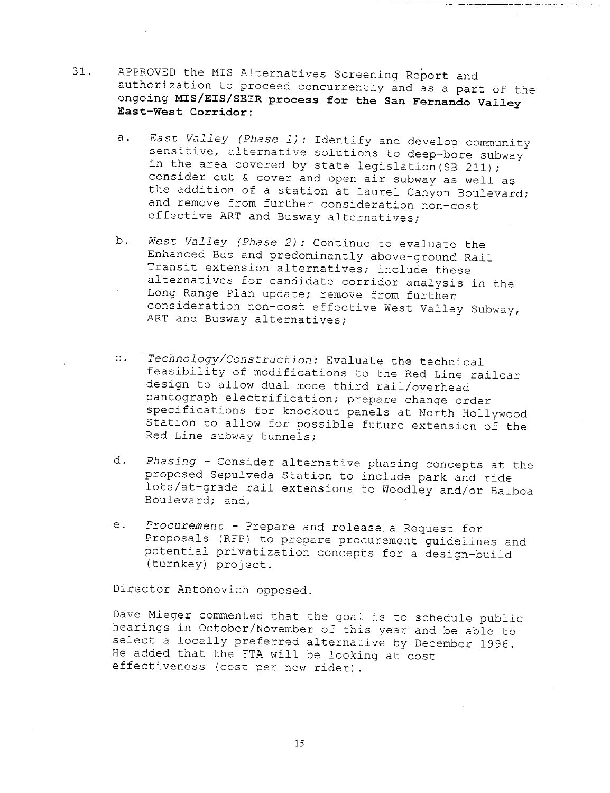- 31. APPROVED the MIS Alternatives Screening Report and authorization to proceed concurrently and as a part of the ongoing **MIS/EIS/SEIR process for the San Fernando Valley East-West Corridor:**
	- East Valley (Phase  $1)$ : Identify and develop community  $a.$ sensitive, alternative solutions to deep-bore subway in the area covered by state legislation (SB 211); consider cut & cover and open air subway as well as the addition of a station at Laurel Canyon Boulevard; and remove from further consideration non-cost effective ART and Busway alternatives;
	- b. West Valley (Phase 2): Continue to evaluate the Enhanced Bus and predominantly above-ground Rail Transit extension alternatives; include these alternatives for candidate corridor analysis in the Long Range Plan update; remove from further consideration non-cost effective West Valley Subway, ART and Busway alternatives;
	- c. Technology/Construction: Evaluate the technical feasibility of modifications to the Red Line railcar design to allow dual mode third rail/overhead pantograph electrification; prepare change order specifications for knockout panels at North Hollywood Station to allow for possible future extension of the Red Line subway tunnels;
	- Phasing Consider alternative phasing concepts at the d. proposed Sepulveda Station to include park and ride lots/at-grade rail extensions to Woodley and/or Balboa Boulevard; and,
	- e. Procurement Prepare and release a Request for Proposals (RFP) to prepare procurement guidelines and potential privatization concepts for a design-build (turnkey) project.

Director Antonovich opposed.

Dave Mieger commented that the goal is to schedule public hearings in October/November of this year and be able to select a locally preferred alternative by December 1996. He added that the FTA will be looking at cost effectiveness (cost per new rider).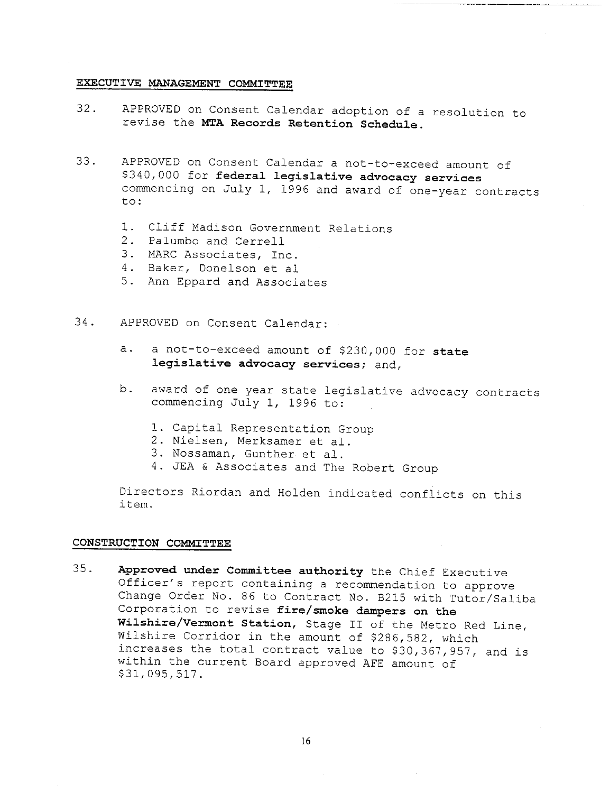#### **EXECUTIVE MANAGEMENT COMMITTEE**

- 32. APPROVED on Consent Calendar adoption of a resolution to revise the **MTA Records Retention Schedule.**
- 33. APPROVED on Consent Calendar a not-to-exceed amount of \$340,000 for **federal legislative advocacy services** commencing on July i, 1996 and award of one-year contracts to:
	- I. Cliff Madison Government Relations
	- 2. Palumbo and Cerrell
	- 3. MARC Associates, Inc.
	- 4. Baker, Donelson et al
	- 5. Ann Eppard and Associates
- $34.$ APPROVED on Consent Calendar:
	- a not-to-exceed amount of \$230,000 for **state**  $a.$ **legislative advocacy services;** and,
	- award of one year state legislative advocacy contracts b. commencing July i, 1996 to:
		- i. Capital Representation Group
		- 2. Nielsen, Merksamer et al.
		- 3. Nossaman, Gunther et al.
		- 4. JEA & Associates and The Robert Group

Directors Riordan and Holden indicated conflicts on this item.

### **CONSTRUCTION COMMITTEE**

35. **Approved under Committee authority** the Chief Executive Officer's report containing a recommendation to approve Change Order No. 86 to Contract No. B215 with Tutor/Saliba Corporation to revise **fire/smoke dampers on the Wilshire/Vermont Station,** Stage II of the Metro Red Line, Wilshire Corridor in the amount of \$286,582, which increases the total contract value to \$30,367,957, and is within the current Board approved AFE amount of \$31,095,517.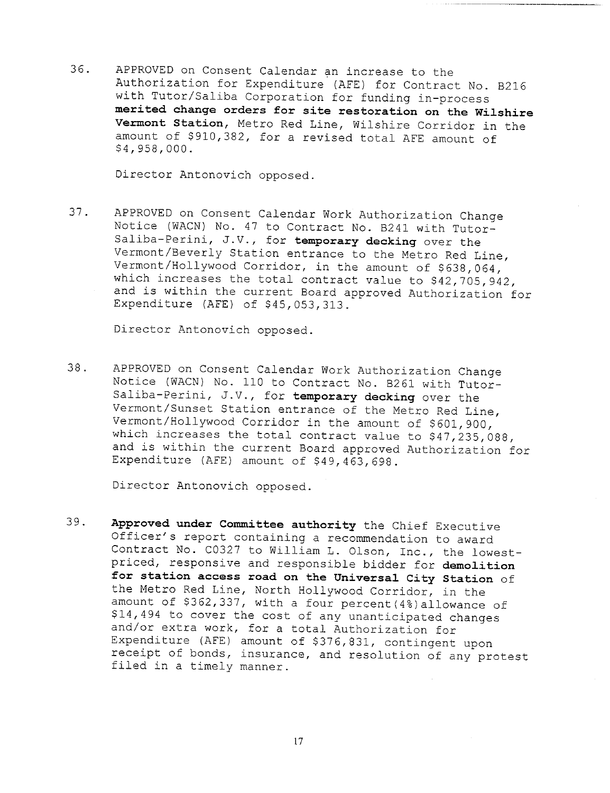36. APPROVED on Consent Calendar an increase to the Authorization for Expenditure (AFE) for Contract No. B216 with Tutor/Saliba Corporation for funding in-process **merited change orders for site restoration on the Wilshire Vermont Station,** Metro Red Line, Wilshire Corridor in the amount of \$910,382, for a revised total AFE amount of \$4,958,000.

Director Antonovich opposed.

37. APPROVED on Consent Calendar Work Authorization Change Notice (WACN) No. 47 to Contract No. B241 with Tutor-Saliba-Perini, J.V., for **temporary decking** over the Vermont/Beverly Station entrance to the Metro Red Line, Vermont/Hollywood Corridor, in the amount of \$638,064, which increases the total contract value to \$42,705,942, and is within the current Board approved Authorization for Expenditure (AFE) of \$45,053,313.

Director Antonovich opposed.

38. APPROVED on Consent Calendar Work Authorization Change Notice (WACN) No. 110 to Contract No. B261 with Tutor-Saliba-Perini, J.V., for **temporary decking** over the Vermont/Sunset Station entrance of the Metro Red Line, Vermont/Hollywood Corridor in the amount of \$601,900, which increases the total contract value to \$47,235,088, and is within the current Board approved Authorization for Expenditure (AFE) amount of \$49,463,698.

Director Antonovich opposed.

39. **Approved under Committee authority** the Chief Executive Officer's report containing a recommendation to award Contract No. C0327 to William L. Olson, Inc., the lowestpriced, responsive and responsible bidder for **demolition for station access road on the Universal City Station** of the Metro Red Line, North Hollywood Corridor, in the amount of \$362,337, with a four percent (4%) allowance of \$14,494 to cover the cost of any unanticipated changes and/or extra work, for a total Authorization for Expenditure (AFE) amount of \$376,831, contingent upon receipt of bonds, insurance, and resolution of any protest filed in a timely manner.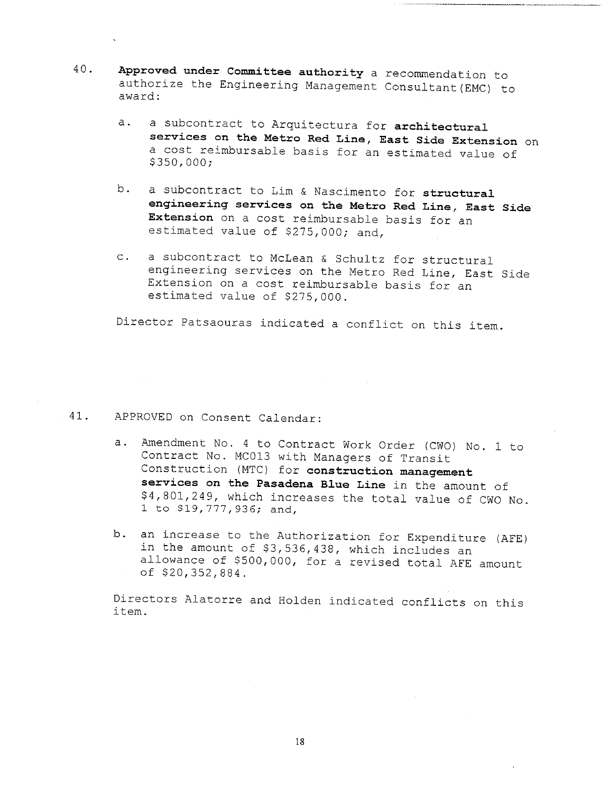- 40. **Approved under Committee authority** a recommendation to authorize the Engineering Management Consultant(EMC) award:
	- a subcontract to Arquitectura for **architectural**  $a.$ **services on the Metro Red Line, East Side Extension** on a cost reimbursable basis for an estimated value of \$350,000;
	- b. a subcontract to Lim & Nascimento for structural **engineering services on the Metro Red Line, East Side Extension** on a cost reimbursable basis for an estimated value of \$275,000; and,
	- c. a subcontract to McLean & Schultz for structural engineering services on the Metro Red Line, East Side Extension on a cost reimbursable basis for an estimated value of \$275,000.

Director Patsaouras indicated a conflict on this item.

### 41. APPROVED on Consent Calendar:

- a. Amendment No. 4 to Contract Work Order (CWO) No. 1 to Contract No. MC013 with Managers of Transit Construction (MTC) for **construction management services on the Pasadena Blue Line** in the amount of \$4,801,249, which increases the total value of CW0 No. 1 to \$19,777,936; and,
- b. an increase to the Authorization for Expenditure (AFE) in the amount of \$3,536,438, which includes an allowance of \$500,000, for a revised total AFE amount of \$20,352,884.

Directors Alatorre and Holden indicated conflicts on this item.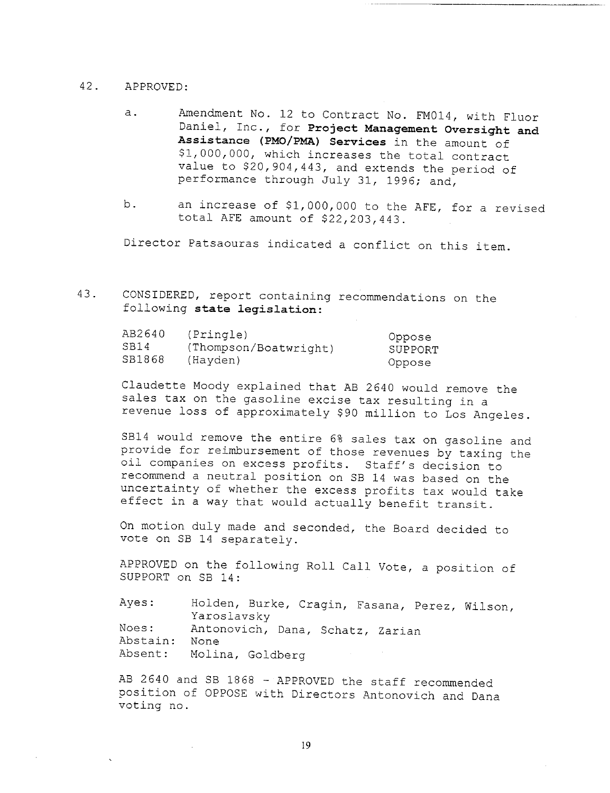#### 42. APPROVED:

- a. Amendment No. 12 to Contract No. FM014, with Fluor Daniel, Inc., for **Project Management Oversight and Assistance (PMO/PMA) Services** in the amount of \$!,000,000, which increases the total contract value to \$20,904,443, and extends the period of performance through July 31, 1996; and,
- b. an increase of \$1,000,000 to the AFE, for a revised total AFE amount of \$22,203,443.

Director Patsaouras indicated a conflict on this item.

43. CONSIDERED, report containing recommendations on the following **state legislation:**

| AB2640 | (Pringle)             | Oppose  |
|--------|-----------------------|---------|
| SB14   | (Thompson/Boatwright) | SUPPORT |
| SB1868 | (Hayden)              | Oppose  |

Claudette Moody explained that AB 2640 would remove the sales tax on the gasoline excise tax resulting in a revenue loss of approximately \$90 million to Los Angeles.

SBI4 would remove the entire 6% sales tax on gasoline and provide for reimbursement of those revenues by taxing the oil companies on excess profits. Staff's decision to recommend a neutral position on SB 14 was based on the uncertainty of whether the excess profits tax would take effect in a way that would actually benefit transit.

On motion duly made and seconded, the Board decided to vote on SB 14 separately.

APPROVED on the following Roll Call Vote, a position of SUPPORT on SB 14:

Ayes: Noes: Abstain: None Absent: Hoiden, Burke, Cragin, Fasana, Perez, Wilson, Yaroslavsky Antonovich, Dana, Schatz, Zarian Molina, Go!dberg

AB 2640 and SB 1868 - APPROVED the staff recommended position of OPPOSE with Directors Antonovich and Dana voting no.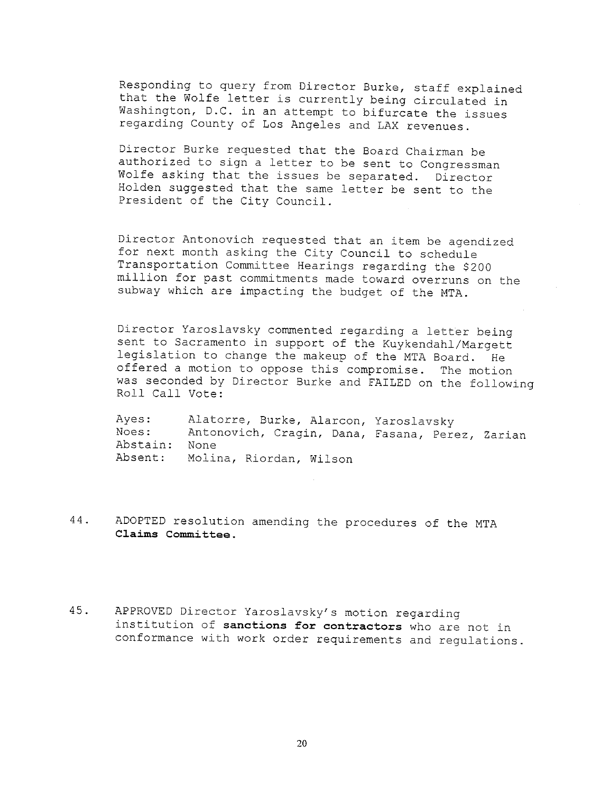Responding to query from Director Burke, staff explained that the Wolfe letter is currently being circulated in Washington, D.C. in an attempt to bifurcate the issues regarding County of Los Angeles and LAX revenues.

Director Burke requested that the Board Chairman be authorized to sign a letter to be sent to Congressman Wolfe asking that the issues be separated. Director Holden suggested that the same letter be sent to the President of the City Council.

Director Antonovich requested that an item be agendized for next month asking the City Council to schedule Transportation Committee Hearings regarding the \$200 million for past commitments made toward overruns on the subway which are impacting the budget of the MTA.

Director Yaroslavsky commented regarding a letter being sent to Sacramento in support of the Kuykendahl/Margett legislation to change the makeup of the MTA Board. He offered a motion to oppose this compromise. The motion was seconded by Director Burke and FAILED on the following Roll Call Vote:

Ayes: Noes: Abstain: None Absent: Molina, Riordan, Wilso Alatorre, Burke, Alarcon, Yaroslavsky Antonovich, Cragin, Dana, Fasana, Perez, Zarian

- 44. ADOPTED resolution amending the procedures of the MTA **Claims Committee.**
- 45. APPROVED Director Yaroslavsky's motion regarding institution of sanctions for contractors who are not in conformance with work order requirements and regulations.

2O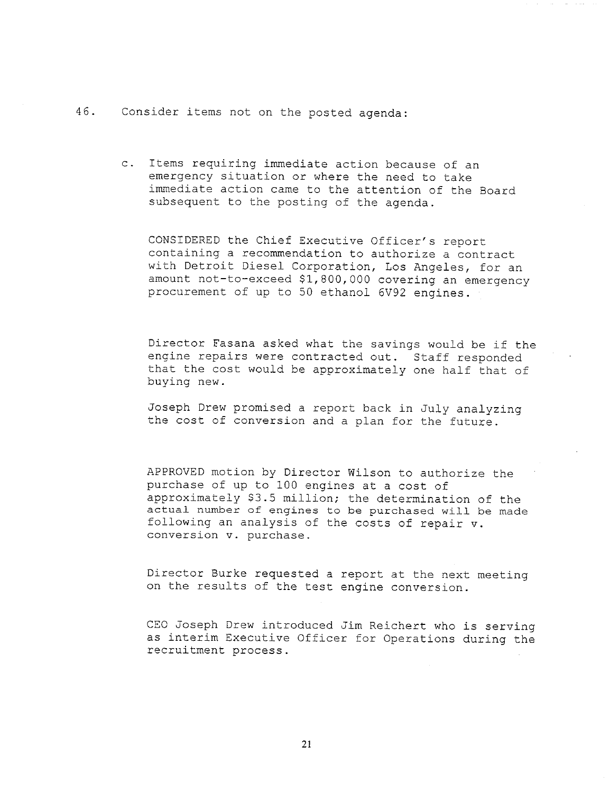46. Consider items not on the posted agenda:

c. Items requiring immediate action because of an emergency situation or where the need to take immediate action came to the attention of the Board subsequent to the posting of the agenda.

CONSIDERED the Chief Executive Officer's report containing a recommendation to authorize a contract with Detroit Diesel Corporation, Los Angeles, for an amount not-to-exceed \$1,800,000 covering an emergency procurement of up to 50 ethanol 6V92 engines.

Director Fasana asked what the savings would be if the engine repairs were contracted out. Staff responded that the cost would be approximately one half that of buying new.

Joseph Drew promised a report back in July analyzing the cost of conversion and a plan for the future.

APPROVED motion by Director Wilson to authorize the purchase of up to I00 engines at a cost of approximately \$3.5 million; the determination of the actual number of engines to be purchased will be made following an analysis of the costs of repair v. conversion v. purchase.

Director Burke requested a report at the next meeting on the results of the test engine conversion.

CEO Joseph Drew introduced Jim Reichert who is serving as interim Executive Officer for Operations during the recruitment process.